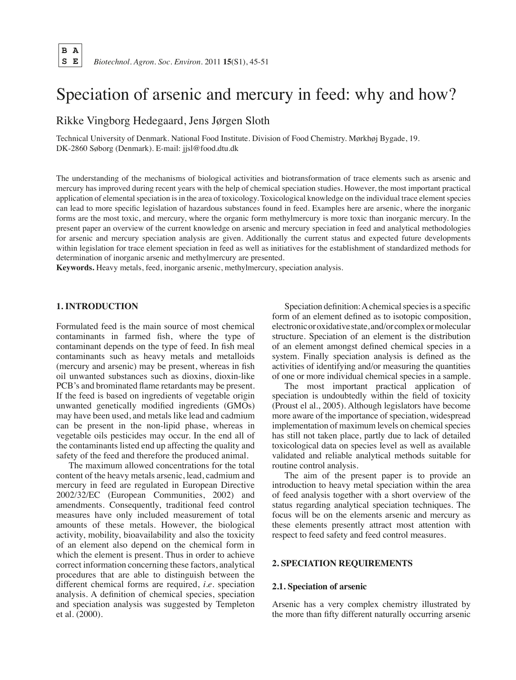# Speciation of arsenic and mercury in feed: why and how?

Rikke Vingborg Hedegaard, Jens Jørgen Sloth

Technical University of Denmark. National Food Institute. Division of Food Chemistry. Mørkhøj Bygade, 19. DK-2860 Søborg (Denmark). E-mail: jjsl@food.dtu.dk

The understanding of the mechanisms of biological activities and biotransformation of trace elements such as arsenic and mercury has improved during recent years with the help of chemical speciation studies. However, the most important practical application of elemental speciation is in the area of toxicology. Toxicological knowledge on the individual trace element species can lead to more specific legislation of hazardous substances found in feed. Examples here are arsenic, where the inorganic forms are the most toxic, and mercury, where the organic form methylmercury is more toxic than inorganic mercury. In the present paper an overview of the current knowledge on arsenic and mercury speciation in feed and analytical methodologies for arsenic and mercury speciation analysis are given. Additionally the current status and expected future developments within legislation for trace element speciation in feed as well as initiatives for the establishment of standardized methods for determination of inorganic arsenic and methylmercury are presented.  

**Keywords.** Heavy metals, feed, inorganic arsenic, methylmercury, speciation analysis.

# **1. Introduction**

Formulated feed is the main source of most chemical contaminants in farmed fish, where the type of contaminant depends on the type of feed. In fish meal contaminants such as heavy metals and metalloids (mercury and arsenic) may be present, whereas in fish oil unwanted substances such as dioxins, dioxin-like PCB's and brominated flame retardants may be present. If the feed is based on ingredients of vegetable origin unwanted genetically modified ingredients (GMOs) may have been used, and metals like lead and cadmium can be present in the non-lipid phase, whereas in vegetable oils pesticides may occur. In the end all of the contaminants listed end up affecting the quality and safety of the feed and therefore the produced animal.

The maximum allowed concentrations for the total content of the heavy metals arsenic, lead, cadmium and mercury in feed are regulated in European Directive 2002/32/EC (European Communities, 2002) and amendments. Consequently, traditional feed control measures have only included measurement of total amounts of these metals. However, the biological activity, mobility, bioavailability and also the toxicity of an element also depend on the chemical form in which the element is present. Thus in order to achieve correct information concerning these factors, analytical procedures that are able to distinguish between the different chemical forms are required, *i.e.* speciation analysis. A definition of chemical species, speciation and speciation analysis was suggested by Templeton et al. (2000).

Speciation definition: A chemical species is a specific form of an element defined as to isotopic composition, electronicoroxidativestate,and/orcomplexormolecular structure. Speciation of an element is the distribution of an element amongst defined chemical species in a system. Finally speciation analysis is defined as the activities of identifying and/or measuring the quantities of one or more individual chemical species in a sample.

The most important practical application of speciation is undoubtedly within the field of toxicity (Proust el al., 2005). Although legislators have become more aware of the importance of speciation, widespread implementation of maximum levels on chemical species has still not taken place, partly due to lack of detailed toxicological data on species level as well as available validated and reliable analytical methods suitable for routine control analysis.

The aim of the present paper is to provide an introduction to heavy metal speciation within the area of feed analysis together with a short overview of the status regarding analytical speciation techniques. The focus will be on the elements arsenic and mercury as these elements presently attract most attention with respect to feed safety and feed control measures.

## **2. Speciation requirements**

### **2.1. Speciation of arsenic**

Arsenic has a very complex chemistry illustrated by the more than fifty different naturally occurring arsenic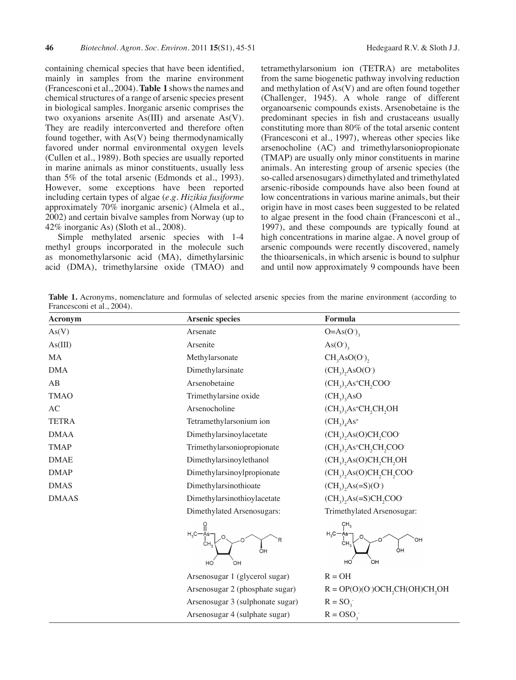containing chemical species that have been identified, mainly in samples from the marine environment (Francesconi et al., 2004).**Table 1** showsthe names and chemical structures of a range of arsenic species present in biological samples. Inorganic arsenic comprises the two oxyanions arsenite As(III) and arsenate As(V). They are readily interconverted and therefore often found together, with As(V) being thermodynamically favored under normal environmental oxygen levels (Cullen et al., 1989). Both species are usually reported in marine animals as minor constituents, usually less than 5% of the total arsenic (Edmonds et al., 1993). However, some exceptions have been reported including certain types of algae (*e.g. Hizikia fusiforme* approximately 70% inorganic arsenic) (Almela et al., 2002) and certain bivalve samples from Norway (up to 42% inorganic As) (Sloth et al., 2008).

Simple methylated arsenic species with 1-4 methyl groups incorporated in the molecule such as monomethylarsonic acid (MA), dimethylarsinic acid (DMA), trimethylarsine oxide (TMAO) and tetramethylarsonium ion (TETRA) are metabolites from the same biogenetic pathway involving reduction and methylation of As(V) and are often found together (Challenger, 1945). A whole range of different organoarsenic compounds exists. Arsenobetaine is the predominant species in fish and crustaceans usually constituting more than 80% of the total arsenic content (Francesconi et al., 1997), whereas other species like arsenocholine (AC) and trimethylarsoniopropionate (TMAP) are usually only minor constituents in marine animals. An interesting group of arsenic species (the so-called arsenosugars) dimethylated and trimethylated arsenic-riboside compounds have also been found at low concentrations in various marine animals, but their origin have in most cases been suggested to be related to algae present in the food chain (Francesconi et al., 1997), and these compounds are typically found at high concentrations in marine algae. A novel group of arsenic compounds were recently discovered, namely the thioarsenicals, in which arsenic is bound to sulphur and until now approximately 9 compounds have been

**Table 1.** Acronyms, nomenclature and formulas of selected arsenic species from the marine environment (according to Francesconi et al., 2004).

| Acronym      | <b>Arsenic species</b>               | Formula                                                                                               |
|--------------|--------------------------------------|-------------------------------------------------------------------------------------------------------|
| As(V)        | Arsenate                             | $O=As(O1)$                                                                                            |
| As(III)      | Arsenite                             | $\text{As}(\text{O}^{\text{-}})_{3}$                                                                  |
| <b>MA</b>    | Methylarsonate                       | CH <sub>3</sub> AsO(O <sub>1</sub> )                                                                  |
| <b>DMA</b>   | Dimethylarsinate                     | $(CH_3)$ , AsO(O·)                                                                                    |
| AB           | Arsenobetaine                        | $(CH3)3As+CH2COO-$                                                                                    |
| <b>TMAO</b>  | Trimethylarsine oxide                | $(CH_3)$ <sub>3</sub> AsO                                                                             |
| AC           | Arsenocholine                        | $(CH_3)$ <sub>3</sub> As <sup>+</sup> CH <sub>2</sub> CH <sub>2</sub> OH <sub>2</sub> OH <sub>2</sub> |
| <b>TETRA</b> | Tetramethylarsonium ion              | $(CH_3)_4As^+$                                                                                        |
| <b>DMAA</b>  | Dimethylarsinoylacetate              | $(CH_3)_2As(O)CH_2COO^2$                                                                              |
| <b>TMAP</b>  | Trimethylarsoniopropionate           | $(CH3)3As+CH2CH2COO-$                                                                                 |
| <b>DMAE</b>  | Dimethylarsinoylethanol              | $(CH_3)$ , As(O)CH, CH, OH                                                                            |
| <b>DMAP</b>  | Dimethylarsinoylpropionate           | (CH <sub>3</sub> ) <sub>2</sub> As(O)CH <sub>2</sub> CH <sub>2</sub> COO                              |
| <b>DMAS</b>  | Dimethylarsinothioate                | $(CH_3)$ , As $(=S)(O^-)$                                                                             |
| <b>DMAAS</b> | Dimethylarsinothioylacetate          | $(CH_3)$ , As $(=S)CH$ , COO                                                                          |
|              | Dimethylated Arsenosugars:           | Trimethylated Arsenosugar:                                                                            |
|              | $H_3C$<br>R<br>ĊН.<br>ŌH<br>HO<br>ЮĤ | $H_3C - A_S -$<br>OН<br>ĊН,<br>ÒН<br>HO<br>ЮH                                                         |
|              | Arsenosugar 1 (glycerol sugar)       | $R = OH$                                                                                              |
|              | Arsenosugar 2 (phosphate sugar)      | $R = OP(O)(O)OCH, CH(OH)CH, OH$                                                                       |
|              | Arsenosugar 3 (sulphonate sugar)     | $R = SO3$                                                                                             |
|              | Arsenosugar 4 (sulphate sugar)       | $R = OSO3$                                                                                            |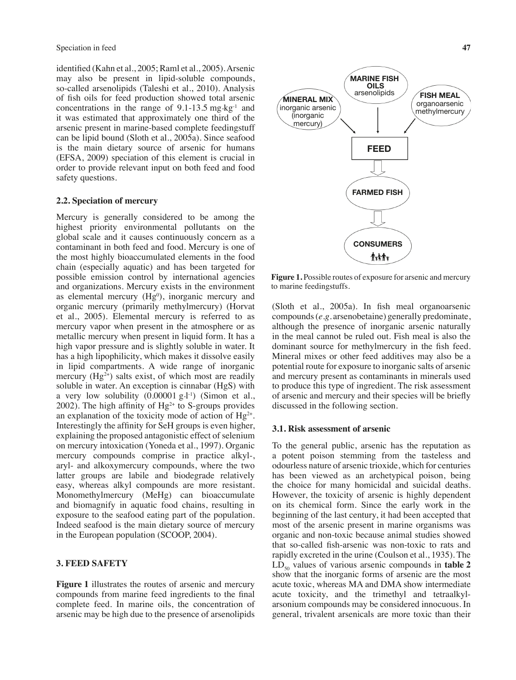identified (Kahn et al., 2005; Raml et al., 2005).Arsenic may also be present in lipid-soluble compounds, so-called arsenolipids (Taleshi et al., 2010). Analysis of fish oils for feed production showed total arsenic concentrations in the range of  $9.1\n-13.5$  mg  $kg^{-1}$  and it was estimated that approximately one third of the arsenic present in marine-based complete feedingstuff can be lipid bound (Sloth et al., 2005a). Since seafood is the main dietary source of arsenic for humans (EFSA, 2009) speciation of this element is crucial in order to provide relevant input on both feed and food safety questions.

### **2.2. Speciation of mercury**

Mercury is generally considered to be among the highest priority environmental pollutants on the global scale and it causes continuously concern as a contaminant in both feed and food. Mercury is one of the most highly bioaccumulated elements in the food chain (especially aquatic) and has been targeted for possible emission control by international agencies and organizations. Mercury exists in the environment as elemental mercury  $(Hg<sup>0</sup>)$ , inorganic mercury and organic mercury (primarily methylmercury) (Horvat et al., 2005). Elemental mercury is referred to as mercury vapor when present in the atmosphere or as metallic mercury when present in liquid form. It has a high vapor pressure and is slightly soluble in water. It has a high lipophilicity, which makes it dissolve easily in lipid compartments. A wide range of inorganic mercury  $(Hg^{2+})$  salts exist, of which most are readily soluble in water. An exception is cinnabar (HgS) with a very low solubility (0.00001 g·l<sup>-1</sup>) (Simon et al., 2002). The high affinity of  $Hg^{2+}$  to S-groups provides an explanation of the toxicity mode of action of  $Hg^{2+}$ . Interestingly the affinity for SeH groups is even higher, explaining the proposed antagonistic effect of selenium on mercury intoxication (Yoneda et al., 1997). Organic mercury compounds comprise in practice alkyl-, aryl- and alkoxymercury compounds, where the two latter groups are labile and biodegrade relatively easy, whereas alkyl compounds are more resistant. Monomethylmercury (MeHg) can bioaccumulate and biomagnify in aquatic food chains, resulting in exposure to the seafood eating part of the population. Indeed seafood is the main dietary source of mercury in the European population (SCOOP, 2004).

#### **3. Feed safety**

**Figure 1** illustrates the routes of arsenic and mercury compounds from marine feed ingredients to the final complete feed. In marine oils, the concentration of arsenic may be high due to the presence of arsenolipids



**Figure 1.** Possible routes of exposure for arsenic and mercury to marine feedingstuffs.

(Sloth et al., 2005a). In fish meal organoarsenic compounds(*e.g.* arsenobetaine) generally predominate, although the presence of inorganic arsenic naturally in the meal cannot be ruled out. Fish meal is also the dominant source for methylmercury in the fish feed. Mineral mixes or other feed additives may also be a potential route for exposure to inorganic salts of arsenic and mercury present as contaminants in minerals used to produce this type of ingredient. The risk assessment of arsenic and mercury and their species will be briefly discussed in the following section.

## **3.1. Risk assessment of arsenic**

To the general public, arsenic has the reputation as a potent poison stemming from the tasteless and odourless nature of arsenic trioxide, which for centuries has been viewed as an archetypical poison, being the choice for many homicidal and suicidal deaths. However, the toxicity of arsenic is highly dependent on its chemical form. Since the early work in the beginning of the last century, it had been accepted that most of the arsenic present in marine organisms was organic and non-toxic because animal studies showed that so-called fish-arsenic was non-toxic to rats and rapidly excreted in the urine (Coulson et al., 1935). The  $LD_{50}$  values of various arsenic compounds in **table 2** show that the inorganic forms of arsenic are the most acute toxic, whereas MA and DMA show intermediate acute toxicity, and the trimethyl and tetraalkylarsonium compounds may be considered innocuous. In general, trivalent arsenicals are more toxic than their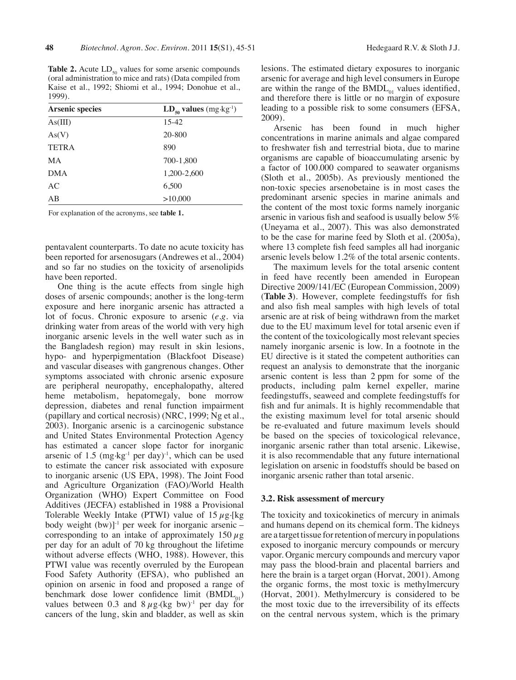**Table 2.** Acute  $LD_{50}$  values for some arsenic compounds (oral administration to mice and rats) (Data compiled from Kaise et al., 1992; Shiomi et al., 1994; Donohue et al., 1999).

| <b>Arsenic species</b> | $LD_{50}$ values (mg·kg <sup>-1</sup> ) |
|------------------------|-----------------------------------------|
| As(III)                | $15-42$                                 |
| As(V)                  | 20-800                                  |
| <b>TETRA</b>           | 890                                     |
| MA                     | 700-1,800                               |
| <b>DMA</b>             | 1,200-2,600                             |
| AC                     | 6,500                                   |
| AB                     | >10,000                                 |

For explanation of the acronyms, see **table 1.**

pentavalent counterparts. To date no acute toxicity has been reported for arsenosugars (Andrewes et al., 2004) and so far no studies on the toxicity of arsenolipids have been reported.

One thing is the acute effects from single high doses of arsenic compounds; another is the long-term exposure and here inorganic arsenic has attracted a lot of focus. Chronic exposure to arsenic (*e.g.* via drinking water from areas of the world with very high inorganic arsenic levels in the well water such as in the Bangladesh region) may result in skin lesions, hypo- and hyperpigmentation (Blackfoot Disease) and vascular diseases with gangrenous changes. Other symptoms associated with chronic arsenic exposure are peripheral neuropathy, encephalopathy, altered heme metabolism, hepatomegaly, bone morrow depression, diabetes and renal function impairment (papillary and cortical necrosis) (NRC, 1999; Ng et al., 2003). Inorganic arsenic is a carcinogenic substance and United States Environmental Protection Agency has estimated a cancer slope factor for inorganic arsenic of  $1.5 \text{ (mg kg}^{-1} \text{ per day})^{-1}$ , which can be used to estimate the cancer risk associated with exposure to inorganic arsenic (US EPA, 1998). The Joint Food and Agriculture Organization (FAO)/World Health Organization (WHO) Expert Committee on Food Additives (JECFA) established in 1988 a Provisional Tolerable Weekly Intake (PTWI) value of  $15 \mu$ g. [kg] body weight  $(bw)$ <sup>1</sup> per week for inorganic arsenic – corresponding to an intake of approximately 150  $\mu$ g per day for an adult of 70 kg throughout the lifetime without adverse effects (WHO, 1988). However, this PTWI value was recently overruled by the European Food Safety Authority (EFSA), who published an opinion on arsenic in food and proposed a range of benchmark dose lower confidence limit  $(BMDL_{01})$ values between 0.3 and  $8 \mu$ g.(kg bw)<sup>-1</sup> per day for cancers of the lung, skin and bladder, as well as skin

lesions. The estimated dietary exposures to inorganic arsenic for average and high level consumers in Europe are within the range of the  $BMDL_{01}$  values identified, and therefore there is little or no margin of exposure leading to a possible risk to some consumers (EFSA, 2009).

Arsenic has been found in much higher concentrations in marine animals and algae compared to freshwater fish and terrestrial biota, due to marine organisms are capable of bioaccumulating arsenic by a factor of 100.000 compared to seawater organisms (Sloth et al., 2005b). As previously mentioned the non-toxic species arsenobetaine is in most cases the predominant arsenic species in marine animals and the content of the most toxic forms namely inorganic arsenic in various fish and seafood is usually below 5% (Uneyama et al., 2007). This was also demonstrated to be the case for marine feed by Sloth et al. (2005a), where 13 complete fish feed samples all had inorganic arsenic levels below 1.2% of the total arsenic contents.

The maximum levels for the total arsenic content in feed have recently been amended in European Directive 2009/141/EC (European Commission, 2009) (**Table 3**). However, complete feedingstuffs for fish and also fish meal samples with high levels of total arsenic are at risk of being withdrawn from the market due to the EU maximum level for total arsenic even if the content of the toxicologically most relevant species namely inorganic arsenic is low. In a footnote in the EU directive is it stated the competent authorities can request an analysis to demonstrate that the inorganic arsenic content is less than 2 ppm for some of the products, including palm kernel expeller, marine feedingstuffs, seaweed and complete feedingstuffs for fish and fur animals. It is highly recommendable that the existing maximum level for total arsenic should be re-evaluated and future maximum levels should be based on the species of toxicological relevance, inorganic arsenic rather than total arsenic. Likewise, it is also recommendable that any future international legislation on arsenic in foodstuffs should be based on inorganic arsenic rather than total arsenic.

## **3.2. Risk assessment of mercury**

The toxicity and toxicokinetics of mercury in animals and humans depend on its chemical form. The kidneys are a target tissue for retention of mercury in populations exposed to inorganic mercury compounds or mercury vapor. Organic mercury compounds and mercury vapor may pass the blood-brain and placental barriers and here the brain is a target organ (Horvat, 2001). Among the organic forms, the most toxic is methylmercury (Horvat, 2001). Methylmercury is considered to be the most toxic due to the irreversibility of its effects on the central nervous system, which is the primary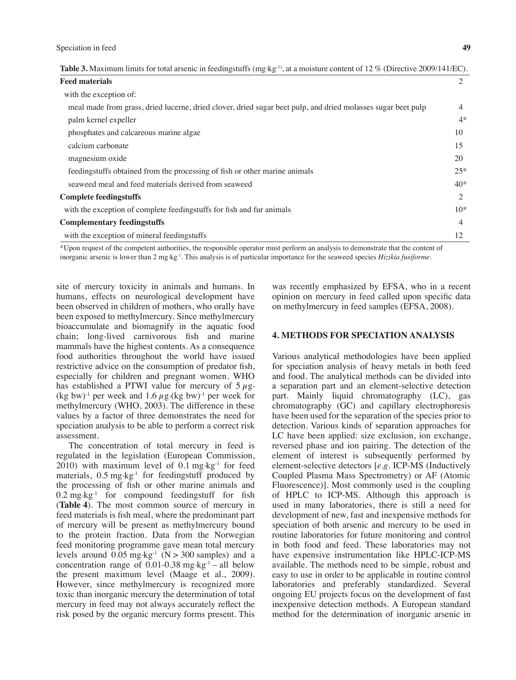| <b>Table 3.</b> Maximum limits for total arsenic in feedingstuffs (mg·kg <sup>-1)</sup> , at a moisture content of 12 % (Directive 2009/141/EC). |  |  |
|--------------------------------------------------------------------------------------------------------------------------------------------------|--|--|
|--------------------------------------------------------------------------------------------------------------------------------------------------|--|--|

| <b>Feed materials</b>                                                                                        | 2              |
|--------------------------------------------------------------------------------------------------------------|----------------|
| with the exception of:                                                                                       |                |
| meal made from grass, dried lucerne, dried clover, dried sugar beet pulp, and dried molasses sugar beet pulp | $\overline{4}$ |
| palm kernel expeller                                                                                         | $4*$           |
| phosphates and calcareous marine algae                                                                       | 10             |
| calcium carbonate                                                                                            | 15             |
| magnesium oxide                                                                                              | 20             |
| feedingstuffs obtained from the processing of fish or other marine animals                                   | $25*$          |
| seaweed meal and feed materials derived from seaweed                                                         | $40*$          |
| <b>Complete feedingstuffs</b>                                                                                | 2              |
| with the exception of complete feedingstuffs for fish and fur animals                                        | $10*$          |
| <b>Complementary feedingstuffs</b>                                                                           | 4              |
| with the exception of mineral feedingstuffs                                                                  | 12             |

\*Upon request of the competent authorities, the responsible operator must perform an analysis to demonstrate that the content of inorganic arsenic is lower than 2 mg·kg<sup>-1</sup>. This analysis is of particular importance for the seaweed species *Hizikia fusiforme*.

site of mercury toxicity in animals and humans. In humans, effects on neurological development have been observed in children of mothers, who orally have been exposed to methylmercury. Since methylmercury bioaccumulate and biomagnify in the aquatic food chain; long-lived carnivorous fish and marine mammals have the highest contents. As a consequence food authorities throughout the world have issued restrictive advice on the consumption of predator fish, especially for children and pregnant women. WHO has established a PTWI value for mercury of  $5 \mu$ g. (kg bw)<sup>-1</sup> per week and 1.6  $\mu$ g.(kg bw)<sup>-1</sup> per week for methylmercury (WHO, 2003). The difference in these values by a factor of three demonstrates the need for speciation analysis to be able to perform a correct risk assessment.

The concentration of total mercury in feed is regulated in the legislation (European Commission, 2010) with maximum level of 0.1 mg $kg<sup>-1</sup>$  for feed materials,  $0.5 \text{ mg} \cdot \text{kg}^{-1}$  for feedingstuff produced by the processing of fish or other marine animals and  $0.2 \text{ mg} \cdot \text{kg}^{-1}$  for compound feedingstuff for fish (**Table 4**). The most common source of mercury in feed materials is fish meal, where the predominant part of mercury will be present as methylmercury bound to the protein fraction. Data from the Norwegian feed monitoring programme gave mean total mercury levels around  $0.05$  mg $\text{kg}^{-1}$  (N > 300 samples) and a concentration range of  $0.01$ -0.38 mg·kg<sup>-1</sup> – all below the present maximum level (Maage et al., 2009). However, since methylmercury is recognized more toxic than inorganic mercury the determination of total mercury in feed may not always accurately reflect the risk posed by the organic mercury forms present. This was recently emphasized by EFSA, who in a recent opinion on mercury in feed called upon specific data on methylmercury in feed samples (EFSA, 2008).

# **4. Methods for speciation analysis**

Various analytical methodologies have been applied for speciation analysis of heavy metals in both feed and food. The analytical methods can be divided into a separation part and an element-selective detection part. Mainly liquid chromatography (LC), gas chromatography (GC) and capillary electrophoresis have been used for the separation of the species prior to detection. Various kinds of separation approaches for LC have been applied: size exclusion, ion exchange, reversed phase and ion pairing. The detection of the element of interest is subsequently performed by element-selective detectors [*e.g.* ICP-MS (Inductively Coupled Plasma Mass Spectrometry) or AF (Atomic Fluorescence)]. Most commonly used is the coupling of HPLC to ICP-MS. Although this approach is used in many laboratories, there is still a need for development of new, fast and inexpensive methods for speciation of both arsenic and mercury to be used in routine laboratories for future monitoring and control in both food and feed. These laboratories may not have expensive instrumentation like HPLC-ICP-MS available. The methods need to be simple, robust and easy to use in order to be applicable in routine control laboratories and preferably standardized. Several ongoing EU projects focus on the development of fast inexpensive detection methods. A European standard method for the determination of inorganic arsenic in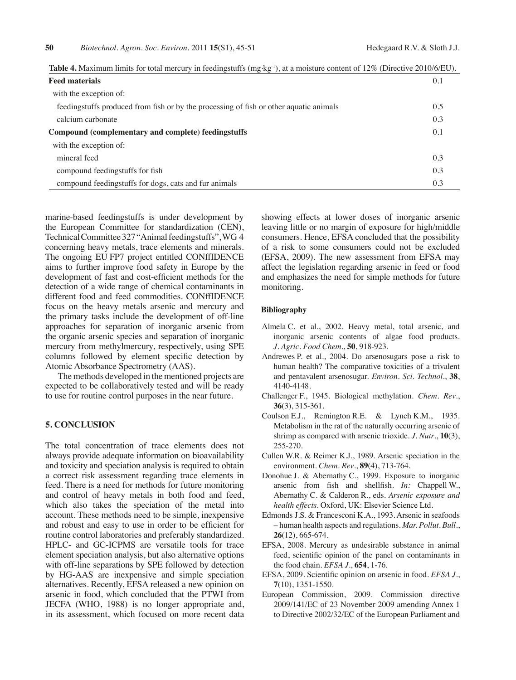| <b>Feed materials</b>                                                                  | 0.1 |
|----------------------------------------------------------------------------------------|-----|
| with the exception of:                                                                 |     |
| feedingstuffs produced from fish or by the processing of fish or other aquatic animals | 0.5 |
| calcium carbonate                                                                      | 0.3 |
| Compound (complementary and complete) feedingstuffs                                    | 0.1 |
| with the exception of:                                                                 |     |
| mineral feed                                                                           | 0.3 |
| compound feedingstuffs for fish                                                        | 0.3 |
| compound feedingstuffs for dogs, cats and fur animals                                  | 0.3 |

**Table 4.** Maximum limits for total mercury in feedingstuffs (mg·kg<sup>-1</sup>), at a moisture content of 12% (Directive 2010/6/EU).

marine-based feedingstuffs is under development by the European Committee for standardization (CEN), Technical Committee 327 "Animal feedingstuffs", WG 4 concerning heavy metals, trace elements and minerals. The ongoing EU FP7 project entitled CONffIDENCE aims to further improve food safety in Europe by the development of fast and cost-efficient methods for the detection of a wide range of chemical contaminants in different food and feed commodities. CONffIDENCE focus on the heavy metals arsenic and mercury and the primary tasks include the development of off-line approaches for separation of inorganic arsenic from the organic arsenic species and separation of inorganic mercury from methylmercury, respectively, using SPE columns followed by element specific detection by Atomic Absorbance Spectrometry (AAS).

The methods developed in the mentioned projects are expected to be collaboratively tested and will be ready to use for routine control purposes in the near future.

# **5. Conclusion**

The total concentration of trace elements does not always provide adequate information on bioavailability and toxicity and speciation analysis is required to obtain a correct risk assessment regarding trace elements in feed. There is a need for methods for future monitoring and control of heavy metals in both food and feed, which also takes the speciation of the metal into account. These methods need to be simple, inexpensive and robust and easy to use in order to be efficient for routine control laboratories and preferably standardized. HPLC- and GC-ICPMS are versatile tools for trace element speciation analysis, but also alternative options with off-line separations by SPE followed by detection by HG-AAS are inexpensive and simple speciation alternatives. Recently, EFSA released a new opinion on arsenic in food, which concluded that the PTWI from JECFA (WHO, 1988) is no longer appropriate and, in its assessment, which focused on more recent data

showing effects at lower doses of inorganic arsenic leaving little or no margin of exposure for high/middle consumers. Hence, EFSA concluded that the possibility of a risk to some consumers could not be excluded (EFSA, 2009). The new assessment from EFSA may affect the legislation regarding arsenic in feed or food and emphasizes the need for simple methods for future monitoring.

### **Bibliography**

- Almela C. et al., 2002. Heavy metal, total arsenic, and inorganic arsenic contents of algae food products. *J. Agric. Food Chem*., **50**, 918-923.
- Andrewes P. et al., 2004. Do arsenosugars pose a risk to human health? The comparative toxicities of a trivalent and pentavalent arsenosugar. *Environ. Sci. Technol*., **38**, 4140-4148.
- Challenger F., 1945. Biological methylation. *Chem. Rev*., **36**(3), 315-361.
- Coulson E.J., Remington R.E. & Lynch K.M., 1935. Metabolism in the rat of the naturally occurring arsenic of shrimp as compared with arsenic trioxide. *J. Nutr*., **10**(3), 255-270.
- Cullen W.R. & Reimer K.J., 1989. Arsenic speciation in the environment. *Chem. Rev*., **89**(4), 713-764.
- Donohue J. & Abernathy C., 1999. Exposure to inorganic arsenic from fish and shellfish. *In:* Chappell W., Abernathy C. & Calderon R., eds. *Arsenic exposure and health effects*. Oxford, UK: Elsevier Science Ltd.
- Edmonds J.S. & Francesconi K.A., 1993. Arsenic in seafoods – human health aspects and regulations. *Mar. Pollut. Bull*., **26**(12), 665-674.
- EFSA, 2008. Mercury as undesirable substance in animal feed, scientific opinion of the panel on contaminants in the food chain. *EFSA J*., **654**, 1-76.
- EFSA, 2009. Scientific opinion on arsenic in food. *EFSA J*., **7**(10), 1351-1550.
- European Commission, 2009. Commission directive 2009/141/EC of 23 November 2009 amending Annex 1 to Directive 2002/32/EC of the European Parliament and